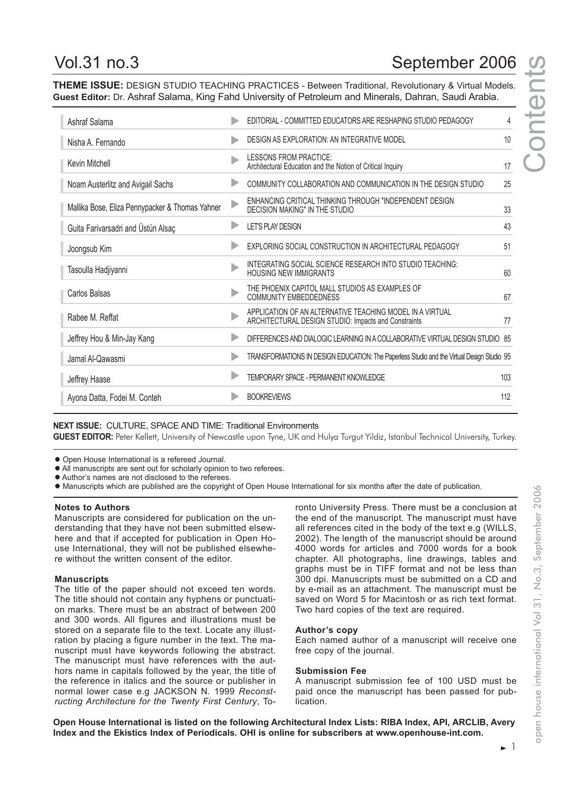# Vol.31 no.3 September 2006

**Contents** 

Conte

**THEME ISSUE:** DESIGN STUDIO TEACHING PRACTICES - Between Traditional, Revolutionary & Virtual Models. **Guest Editor:** Dr. Ashraf Salama, King Fahd University of Petroleum and Minerals, Dahran, Saudi Arabia.

| Ashraf Salama                                   | EDITORIAL - COMMITTED EDUCATORS ARE RESHAPING STUDIO PEDAGOGY                                                     | 4   |
|-------------------------------------------------|-------------------------------------------------------------------------------------------------------------------|-----|
| Nisha A. Fernando                               | DESIGN AS EXPLORATION: AN INTEGRATIVE MODEL                                                                       | 10  |
| Kevin Mitchell                                  | LESSONS FROM PRACTICE:<br>Architectural Education and the Notion of Critical Inquiry                              | 17  |
| Noam Austerlitz and Avigail Sachs               | COMMUNITY COLLABORATION AND COMMUNICATION IN THE DESIGN STUDIO                                                    | 25  |
| Mallika Bose, Eliza Pennypacker & Thomas Yahner | ENHANCING CRITICAL THINKING THROUGH "INDEPENDENT DESIGN<br>DECISION MAKING" IN THE STUDIO                         | 33  |
| Guita Farivarsadri and Üstün Alsaç              | <b>LET'S PLAY DESIGN</b>                                                                                          | 43  |
| Joongsub Kim                                    | EXPLORING SOCIAL CONSTRUCTION IN ARCHITECTURAL PEDAGOGY                                                           | 51  |
| Tasoulla Hadjiyanni                             | INTEGRATING SOCIAL SCIENCE RESEARCH INTO STUDIO TEACHING:<br><b>HOUSING NEW IMMIGRANTS</b>                        | 60  |
| Carlos Balsas                                   | THE PHOENIX CAPITOL MALL STUDIOS AS EXAMPLES OF<br><b>COMMUNITY EMBEDDEDNESS</b>                                  | 67  |
| Rabee M. Reffat                                 | APPLICATION OF AN ALTERNATIVE TEACHING MODEL IN A VIRTUAL<br>ARCHITECTURAL DESIGN STUDIO: Impacts and Constraints | 77  |
| Jeffrey Hou & Min-Jay Kang                      | DIFFERENCES AND DIALOGIC LEARNING IN A COLLABORATIVE VIRTUAL DESIGN STUDIO 85                                     |     |
| Jamal Al-Qawasmi                                | TRANSFORMATIONS IN DESIGN EDUCATION: The Paperless Studio and the Virtual Design Studio 95                        |     |
| Jeffrey Haase                                   | TEMPORARY SPACE - PERMANENT KNOWLEDGE                                                                             | 103 |
| Ayona Datta, Fodei M. Conteh                    | <b>BOOKREVIEWS</b>                                                                                                | 112 |
|                                                 |                                                                                                                   |     |

**NEXT ISSUE:** CULTURE, SPACE AND TIME: Traditional Environments

**GUEST EDITOR:** Peter Kellett, University of Newcastle upon Tyne, UK and Hulya Turgut Yildiz, Istanbul Technical University, Turkey.

• Open House International is a refereed Journal.

- All manuscripts are sent out for scholarly opinion to two referees.
- Author's names are not disclosed to the referees.
- Manuscripts which are published are the copyright of Open House International for six months after the date of publication.

#### **Notes to Authors**

Manuscripts are considered for publication on the understanding that they have not been submitted elsewhere and that if accepted for publication in Open House International, they will not be published elsewhere without the written consent of the editor.

### **Manuscripts**

The title of the paper should not exceed ten words. The title should not contain any hyphens or punctuation marks. There must be an abstract of between 200 and 300 words. All figures and illustrations must be stored on a separate file to the text. Locate any illustration by placing a figure number in the text. The manuscript must have keywords following the abstract. The manuscript must have references with the authors name in capitals followed by the year, the title of the reference in italics and the source or publisher in normal lower case e.g JACKSON N. 1999 *Reconstructing Architecture for the Twenty First Century*, Toronto University Press. There must be a conclusion at the end of the manuscript. The manuscript must have all references cited in the body of the text e.g (WILLS, 2002). The length of the manuscript should be around 4000 words for articles and 7000 words for a book chapter. All photographs, line drawings, tables and graphs must be in TIFF format and not be less than 300 dpi. Manuscripts must be submitted on a CD and by e-mail as an attachment. The manuscript must be saved on Word 5 for Macintosh or as rich text format. Two hard copies of the text are required.

### **Author's copy**

Each named author of a manuscript will receive one free copy of the journal.

### **Submission Fee**

A manuscript submission fee of 100 USD must be paid once the manuscript has been passed for publication.

**Open House International is listed on the following Architectural Index Lists: RIBA Index, API, ARCLIB, Avery Index and the Ekistics Index of Periodicals. OHI is online for subscribers at www.openhouse-int.com.**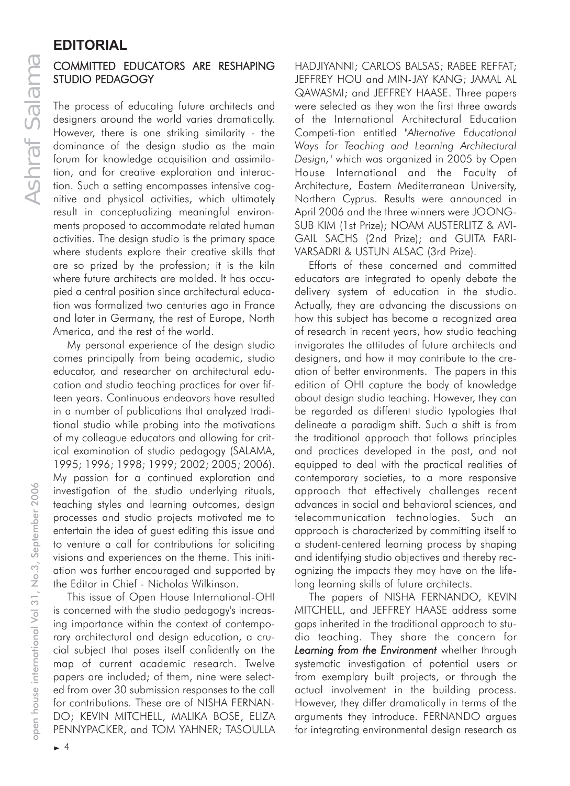# **EDITORIAL**

### COMMITTED EDUCATORS ARE RESHAPING STUDIO PEDAGOGY

The process of educating future architects and designers around the world varies dramatically. However, there is one striking similarity - the dominance of the design studio as the main forum for knowledge acquisition and assimilation, and for creative exploration and interaction. Such a setting encompasses intensive cognitive and physical activities, which ultimately result in conceptualizing meaningful environments proposed to accommodate related human activities. The design studio is the primary space where students explore their creative skills that are so prized by the profession; it is the kiln where future architects are molded. It has occupied a central position since architectural education was formalized two centuries ago in France and later in Germany, the rest of Europe, North America, and the rest of the world.

My personal experience of the design studio comes principally from being academic, studio educator, and researcher on architectural education and studio teaching practices for over fifteen years. Continuous endeavors have resulted in a number of publications that analyzed traditional studio while probing into the motivations of my colleague educators and allowing for critical examination of studio pedagogy (SALAMA, 1995; 1996; 1998; 1999; 2002; 2005; 2006). My passion for a continued exploration and investigation of the studio underlying rituals, teaching styles and learning outcomes, design processes and studio projects motivated me to entertain the idea of guest editing this issue and to venture a call for contributions for soliciting visions and experiences on the theme. This initiation was further encouraged and supported by the Editor in Chief - Nicholas Wilkinson.

This issue of Open House International-OHI is concerned with the studio pedagogy's increasing importance within the context of contemporary architectural and design education, a crucial subject that poses itself confidently on the map of current academic research. Twelve papers are included; of them, nine were selected from over 30 submission responses to the call for contributions. These are of NISHA FERNAN-DO; KEVIN MITCHELL, MALIKA BOSE, ELIZA PENNYPACKER, and TOM YAHNER; TASOULLA HADJIYANNI; CARLOS BALSAS; RABEE REFFAT; JEFFREY HOU and MIN-JAY KANG; JAMAL AL QAWASMI; and JEFFREY HAASE. Three papers were selected as they won the first three awards of the International Architectural Education Competi-tion entitled *"Alternative Educational Ways for Teaching and Learning Architectural Design,"* which was organized in 2005 by Open House International and the Faculty of Architecture, Eastern Mediterranean University, Northern Cyprus. Results were announced in April 2006 and the three winners were JOONG-SUB KIM (1st Prize); NOAM AUSTERLITZ & AVI-GAIL SACHS (2nd Prize); and GUITA FARI-VARSADRI & USTUN ALSAC (3rd Prize).

Efforts of these concerned and committed educators are integrated to openly debate the delivery system of education in the studio. Actually, they are advancing the discussions on how this subject has become a recognized area of research in recent years, how studio teaching invigorates the attitudes of future architects and designers, and how it may contribute to the creation of better environments. The papers in this edition of OHI capture the body of knowledge about design studio teaching. However, they can be regarded as different studio typologies that delineate a paradigm shift. Such a shift is from the traditional approach that follows principles and practices developed in the past, and not equipped to deal with the practical realities of contemporary societies, to a more responsive approach that effectively challenges recent advances in social and behavioral sciences, and telecommunication technologies. Such an approach is characterized by committing itself to a student-centered learning process by shaping and identifying studio objectives and thereby recognizing the impacts they may have on the lifelong learning skills of future architects.

The papers of NISHA FERNANDO, KEVIN MITCHELL, and JEFFREY HAASE address some gaps inherited in the traditional approach to studio teaching. They share the concern for *Learning from the Environment* whether through systematic investigation of potential users or from exemplary built projects, or through the actual involvement in the building process. However, they differ dramatically in terms of the arguments they introduce. FERNANDO argues for integrating environmental design research as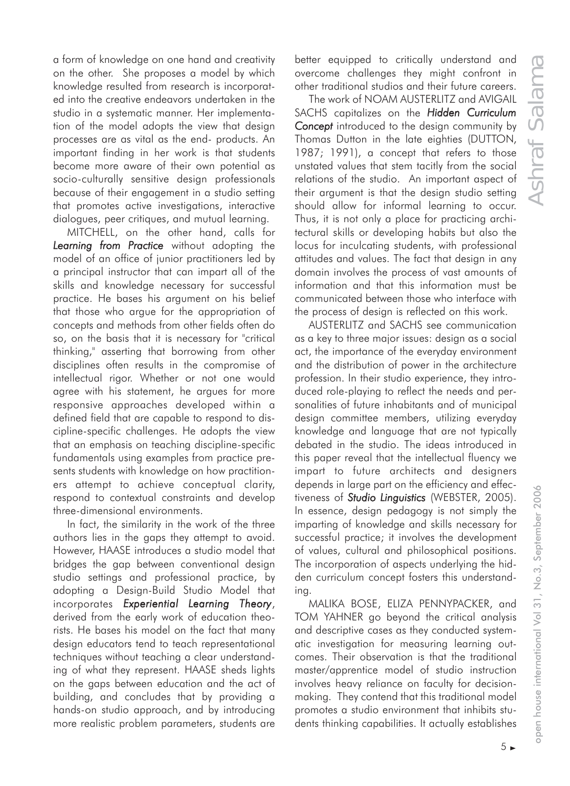a form of knowledge on one hand and creativity on the other. She proposes a model by which knowledge resulted from research is incorporated into the creative endeavors undertaken in the studio in a systematic manner. Her implementation of the model adopts the view that design processes are as vital as the end- products. An important finding in her work is that students become more aware of their own potential as socio-culturally sensitive design professionals because of their engagement in a studio setting that promotes active investigations, interactive dialogues, peer critiques, and mutual learning.

MITCHELL, on the other hand, calls for *Learning from Practice* without adopting the model of an office of junior practitioners led by a principal instructor that can impart all of the skills and knowledge necessary for successful practice. He bases his argument on his belief that those who argue for the appropriation of concepts and methods from other fields often do so, on the basis that it is necessary for "critical thinking," asserting that borrowing from other disciplines often results in the compromise of intellectual rigor. Whether or not one would agree with his statement, he argues for more responsive approaches developed within a defined field that are capable to respond to discipline-specific challenges. He adopts the view that an emphasis on teaching discipline-specific fundamentals using examples from practice presents students with knowledge on how practitioners attempt to achieve conceptual clarity, respond to contextual constraints and develop three-dimensional environments.

In fact, the similarity in the work of the three authors lies in the gaps they attempt to avoid. However, HAASE introduces a studio model that bridges the gap between conventional design studio settings and professional practice, by adopting a Design-Build Studio Model that incorporates *Experiential Learning Theory*, derived from the early work of education theorists. He bases his model on the fact that many design educators tend to teach representational techniques without teaching a clear understanding of what they represent. HAASE sheds lights on the gaps between education and the act of building, and concludes that by providing a hands-on studio approach, and by introducing more realistic problem parameters, students are

better equipped to critically understand and overcome challenges they might confront in other traditional studios and their future careers.

The work of NOAM AUSTERLITZ and AVIGAIL SACHS capitalizes on the *Hidden Curriculum Concept* introduced to the design community by Thomas Dutton in the late eighties (DUTTON, 1987; 1991), a concept that refers to those unstated values that stem tacitly from the social relations of the studio. An important aspect of their argument is that the design studio setting should allow for informal learning to occur. Thus, it is not only a place for practicing architectural skills or developing habits but also the locus for inculcating students, with professional attitudes and values. The fact that design in any domain involves the process of vast amounts of information and that this information must be communicated between those who interface with the process of design is reflected on this work.

AUSTERLITZ and SACHS see communication as a key to three major issues: design as a social act, the importance of the everyday environment and the distribution of power in the architecture profession. In their studio experience, they introduced role-playing to reflect the needs and personalities of future inhabitants and of municipal design committee members, utilizing everyday knowledge and language that are not typically debated in the studio. The ideas introduced in this paper reveal that the intellectual fluency we impart to future architects and designers depends in large part on the efficiency and effectiveness of *Studio Linguistics* (WEBSTER, 2005). In essence, design pedagogy is not simply the imparting of knowledge and skills necessary for successful practice; it involves the development of values, cultural and philosophical positions. The incorporation of aspects underlying the hidden curriculum concept fosters this understanding.

MALIKA BOSE, ELIZA PENNYPACKER, and TOM YAHNER go beyond the critical analysis and descriptive cases as they conducted systematic investigation for measuring learning outcomes. Their observation is that the traditional master/apprentice model of studio instruction involves heavy reliance on faculty for decisionmaking. They contend that this traditional model promotes a studio environment that inhibits students thinking capabilities. It actually establishes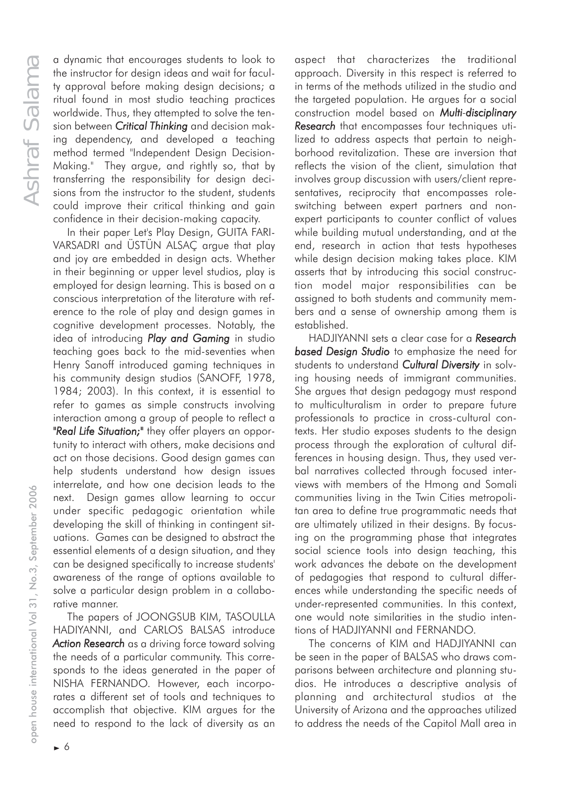a dynamic that encourages students to look to the instructor for design ideas and wait for faculty approval before making design decisions; a ritual found in most studio teaching practices worldwide. Thus, they attempted to solve the tension between *Critical Thinking* and decision making dependency, and developed a teaching method termed "Independent Design Decision-Making." They argue, and rightly so, that by transferring the responsibility for design decisions from the instructor to the student, students could improve their critical thinking and gain confidence in their decision-making capacity.

In their paper Let's Play Design, GUITA FARI-VARSADRI and ÜSTÜN ALSAÇ argue that play and joy are embedded in design acts. Whether in their beginning or upper level studios, play is employed for design learning. This is based on a conscious interpretation of the literature with reference to the role of play and design games in cognitive development processes. Notably, the idea of introducing *Play and Gaming* in studio teaching goes back to the mid-seventies when Henry Sanoff introduced gaming techniques in his community design studios (SANOFF, 1978, 1984; 2003). In this context, it is essential to refer to games as simple constructs involving interaction among a group of people to reflect a *"Real Life Situation;"* they offer players an opportunity to interact with others, make decisions and act on those decisions. Good design games can help students understand how design issues interrelate, and how one decision leads to the next. Design games allow learning to occur under specific pedagogic orientation while developing the skill of thinking in contingent situations. Games can be designed to abstract the essential elements of a design situation, and they can be designed specifically to increase students' awareness of the range of options available to solve a particular design problem in a collaborative manner.

The papers of JOONGSUB KIM, TASOULLA HADIYANNI, and CARLOS BALSAS introduce *Action Research* as a driving force toward solving the needs of a particular community. This corresponds to the ideas generated in the paper of NISHA FERNANDO. However, each incorporates a different set of tools and techniques to accomplish that objective. KIM argues for the need to respond to the lack of diversity as an aspect that characterizes the traditional approach. Diversity in this respect is referred to in terms of the methods utilized in the studio and the targeted population. He argues for a social construction model based on *Multi-disciplinary Research* that encompasses four techniques utilized to address aspects that pertain to neighborhood revitalization. These are inversion that reflects the vision of the client, simulation that involves group discussion with users/client representatives, reciprocity that encompasses roleswitching between expert partners and nonexpert participants to counter conflict of values while building mutual understanding, and at the end, research in action that tests hypotheses while design decision making takes place. KIM asserts that by introducing this social construction model major responsibilities can be assigned to both students and community members and a sense of ownership among them is established.

HADJIYANNI sets a clear case for a *Research based Design Studio* to emphasize the need for students to understand *Cultural Diversity* in solving housing needs of immigrant communities. She argues that design pedagogy must respond to multiculturalism in order to prepare future professionals to practice in cross-cultural contexts. Her studio exposes students to the design process through the exploration of cultural differences in housing design. Thus, they used verbal narratives collected through focused interviews with members of the Hmong and Somali communities living in the Twin Cities metropolitan area to define true programmatic needs that are ultimately utilized in their designs. By focusing on the programming phase that integrates social science tools into design teaching, this work advances the debate on the development of pedagogies that respond to cultural differences while understanding the specific needs of under-represented communities. In this context, one would note similarities in the studio intentions of HADJIYANNI and FERNANDO.

The concerns of KIM and HADJIYANNI can be seen in the paper of BALSAS who draws comparisons between architecture and planning studios. He introduces a descriptive analysis of planning and architectural studios at the University of Arizona and the approaches utilized to address the needs of the Capitol Mall area in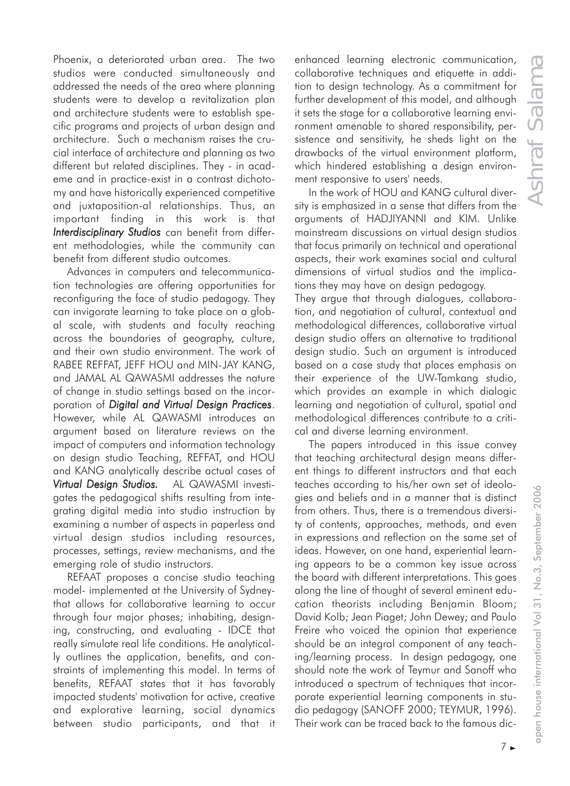Phoenix, a deteriorated urban area. The two studios were conducted simultaneously and addressed the needs of the area where planning students were to develop a revitalization plan and architecture students were to establish specific programs and projects of urban design and architecture. Such a mechanism raises the crucial interface of architecture and planning as two different but related disciplines. They - in academe and in practice-exist in a contrast dichotomy and have historically experienced competitive and juxtaposition-al relationships. Thus, an important finding in this work is that *Interdisciplinary Studios* can benefit from different methodologies, while the community can benefit from different studio outcomes.

Advances in computers and telecommunication technologies are offering opportunities for reconfiguring the face of studio pedagogy. They can invigorate learning to take place on a global scale, with students and faculty reaching across the boundaries of geography, culture, and their own studio environment. The work of RABEE REFFAT, JEFF HOU and MIN-JAY KANG, and JAMAL AL QAWASMI addresses the nature of change in studio settings based on the incorporation of *Digital and Virtual Design Practices*. However, while AL QAWASMI introduces an argument based on literature reviews on the impact of computers and information technology on design studio Teaching, REFFAT, and HOU and KANG analytically describe actual cases of *Virtual Design Studios.* AL QAWASMI investigates the pedagogical shifts resulting from integrating digital media into studio instruction by examining a number of aspects in paperless and virtual design studios including resources, processes, settings, review mechanisms, and the emerging role of studio instructors.

REFAAT proposes a concise studio teaching model- implemented at the University of Sydneythat allows for collaborative learning to occur through four major phases; inhabiting, designing, constructing, and evaluating - IDCE that really simulate real life conditions. He analytically outlines the application, benefits, and constraints of implementing this model. In terms of benefits, REFAAT states that it has favorably impacted students' motivation for active, creative and explorative learning, social dynamics between studio participants, and that it enhanced learning electronic communication, collaborative techniques and etiquette in addition to design technology. As a commitment for further development of this model, and although it sets the stage for a collaborative learning environment amenable to shared responsibility, persistence and sensitivity, he sheds light on the drawbacks of the virtual environment platform, which hindered establishing a design environment responsive to users' needs.

In the work of HOU and KANG cultural diversity is emphasized in a sense that differs from the arguments of HADJIYANNI and KIM. Unlike mainstream discussions on virtual design studios that focus primarily on technical and operational aspects, their work examines social and cultural dimensions of virtual studios and the implications they may have on design pedagogy.

They argue that through dialogues, collaboration, and negotiation of cultural, contextual and methodological differences, collaborative virtual design studio offers an alternative to traditional design studio. Such an argument is introduced based on a case study that places emphasis on their experience of the UW-Tamkang studio, which provides an example in which dialogic learning and negotiation of cultural, spatial and methodological differences contribute to a critical and diverse learning environment.

The papers introduced in this issue convey that teaching architectural design means different things to different instructors and that each teaches according to his/her own set of ideologies and beliefs and in a manner that is distinct from others. Thus, there is a tremendous diversity of contents, approaches, methods, and even in expressions and reflection on the same set of ideas. However, on one hand, experiential learning appears to be a common key issue across the board with different interpretations. This goes along the line of thought of several eminent education theorists including Benjamin Bloom; David Kolb; Jean Piaget; John Dewey; and Paulo Freire who voiced the opinion that experience should be an integral component of any teaching/learning process. In design pedagogy, one should note the work of Teymur and Sanoff who introduced a spectrum of techniques that incorporate experiential learning components in studio pedagogy (SANOFF 2000; TEYMUR, 1996). Their work can be traced back to the famous dic-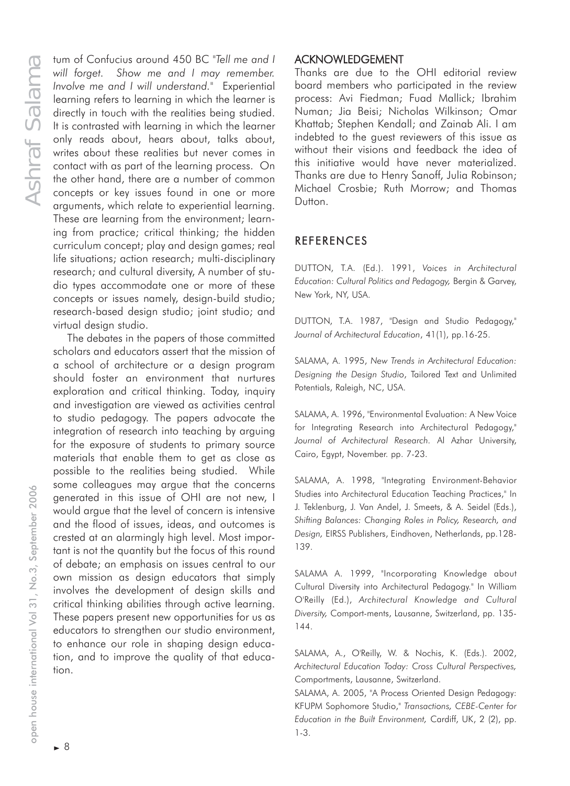*will forget. Show me and I may remember. Involve me and I will understand."* Experiential learning refers to learning in which the learner is directly in touch with the realities being studied. It is contrasted with learning in which the learner only reads about, hears about, talks about, writes about these realities but never comes in contact with as part of the learning process. On the other hand, there are a number of common concepts or key issues found in one or more arguments, which relate to experiential learning. These are learning from the environment; learning from practice; critical thinking; the hidden curriculum concept; play and design games; real life situations; action research; multi-disciplinary research; and cultural diversity, A number of studio types accommodate one or more of these concepts or issues namely, design-build studio; research-based design studio; joint studio; and virtual design studio.

The most Confucius crossor 450 BC <sup>"</sup>Fall me and 1 in the learner is chemical learner whilf in the confucius are between and 1 will understand." Experiential deriver is the contrasted with lacentarism in which the learner The debates in the papers of those committed scholars and educators assert that the mission of a school of architecture or a design program should foster an environment that nurtures exploration and critical thinking. Today, inquiry and investigation are viewed as activities central to studio pedagogy. The papers advocate the integration of research into teaching by arguing for the exposure of students to primary source materials that enable them to get as close as possible to the realities being studied. While some colleagues may argue that the concerns generated in this issue of OHI are not new, I would argue that the level of concern is intensive and the flood of issues, ideas, and outcomes is crested at an alarmingly high level. Most important is not the quantity but the focus of this round of debate; an emphasis on issues central to our own mission as design educators that simply involves the development of design skills and critical thinking abilities through active learning. These papers present new opportunities for us as educators to strengthen our studio environment, to enhance our role in shaping design education, and to improve the quality of that education.

### ACKNOWLEDGEMENT

Thanks are due to the OHI editorial review board members who participated in the review process: Avi Fiedman; Fuad Mallick; Ibrahim Numan; Jia Beisi; Nicholas Wilkinson; Omar Khattab; Stephen Kendall; and Zainab Ali. I am indebted to the guest reviewers of this issue as without their visions and feedback the idea of this initiative would have never materialized. Thanks are due to Henry Sanoff, Julia Robinson; Michael Crosbie; Ruth Morrow; and Thomas Dutton.

## REFERENCES

DUTTON, T.A. (Ed.). 1991, *Voices in Architectural Education: Cultural Politics and Pedagogy,* Bergin & Garvey, New York, NY, USA.

DUTTON, T.A. 1987, "Design and Studio Pedagogy," *Journal of Architectural Education*, 41(1), pp.16-25.

SALAMA, A. 1995, *New Trends in Architectural Education: Designing the Design Studio*, Tailored Text and Unlimited Potentials, Raleigh, NC, USA.

SALAMA, A. 1996, "Environmental Evaluation: A New Voice for Integrating Research into Architectural Pedagogy," *Journal of Architectural Research.* Al Azhar University, Cairo, Egypt, November. pp. 7-23.

SALAMA, A. 1998, "Integrating Environment-Behavior Studies into Architectural Education Teaching Practices," In J. Teklenburg, J. Van Andel, J. Smeets, & A. Seidel (Eds.), *Shifting Balances: Changing Roles in Policy, Research, and Design,* EIRSS Publishers, Eindhoven, Netherlands, pp.128- 139.

SALAMA A. 1999, "Incorporating Knowledge about Cultural Diversity into Architectural Pedagogy." In William O'Reilly (Ed.), *Architectural Knowledge and Cultural Diversity,* Comport-ments, Lausanne, Switzerland, pp. 135- 144.

SALAMA, A., O'Reilly, W. & Nochis, K. (Eds.). 2002, *Architectural Education Today: Cross Cultural Perspectives,* Comportments, Lausanne, Switzerland.

SALAMA, A. 2005, "A Process Oriented Design Pedagogy: KFUPM Sophomore Studio," *Transactions, CEBE-Center for Education in the Built Environment,* Cardiff, UK, 2 (2), pp. 1-3.